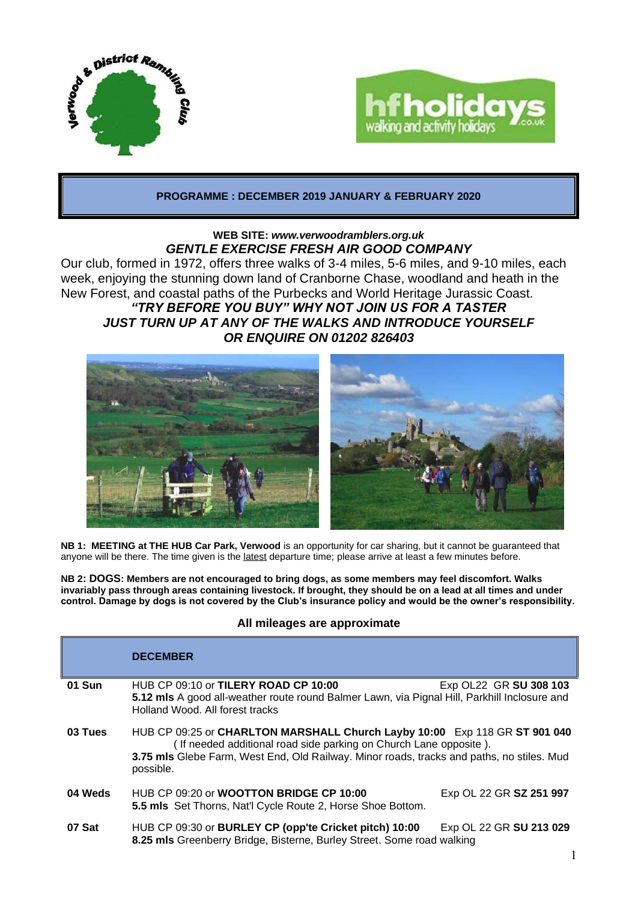



# **PROGRAMME : DECEMBER 2019 JANUARY & FEBRUARY 2020**

# **WEB SITE:** *[www.verwoodramblers.org.uk](http://www.verwoodramblers.org.uk/) GENTLE EXERCISE FRESH AIR GOOD COMPANY*

Our club, formed in 1972, offers three walks of 3-4 miles, 5-6 miles, and 9-10 miles, each week, enjoying the stunning down land of Cranborne Chase, woodland and heath in the New Forest, and coastal paths of the Purbecks and World Heritage Jurassic Coast. *"TRY BEFORE YOU BUY" WHY NOT JOIN US FOR A TASTER JUST TURN UP AT ANY OF THE WALKS AND INTRODUCE YOURSELF OR ENQUIRE ON 01202 826403*



**NB 1: MEETING at THE HUB Car Park, Verwood** is an opportunity for car sharing, but it cannot be guaranteed that anyone will be there. The time given is the latest departure time; please arrive at least a few minutes before.

**NB 2: DOGS: Members are not encouraged to bring dogs, as some members may feel discomfort. Walks invariably pass through areas containing livestock. If brought, they should be on a lead at all times and under control. Damage by dogs is not covered by the Club's insurance policy and would be the owner's responsibility.**

### **All mileages are approximate**

|         | <b>DECEMBER</b>                                                                                                                                                                                                                                           |                         |
|---------|-----------------------------------------------------------------------------------------------------------------------------------------------------------------------------------------------------------------------------------------------------------|-------------------------|
| 01 Sun  | HUB CP 09:10 or TILERY ROAD CP 10:00<br>5.12 mls A good all-weather route round Balmer Lawn, via Pignal Hill, Parkhill Inclosure and<br>Holland Wood, All forest tracks                                                                                   | Exp OL22 GR SU 308 103  |
| 03 Tues | HUB CP 09:25 or CHARLTON MARSHALL Church Layby 10:00 Exp 118 GR ST 901 040<br>(If needed additional road side parking on Church Lane opposite).<br>3.75 mls Glebe Farm, West End, Old Railway. Minor roads, tracks and paths, no stiles. Mud<br>possible. |                         |
| 04 Weds | HUB CP 09:20 or <b>WOOTTON BRIDGE CP 10:00</b><br>5.5 mls Set Thorns, Nat'l Cycle Route 2, Horse Shoe Bottom.                                                                                                                                             | Exp OL 22 GR SZ 251 997 |
| 07 Sat  | HUB CP 09:30 or BURLEY CP (opp'te Cricket pitch) 10:00<br>8.25 mls Greenberry Bridge, Bisterne, Burley Street. Some road walking                                                                                                                          | Exp OL 22 GR SU 213 029 |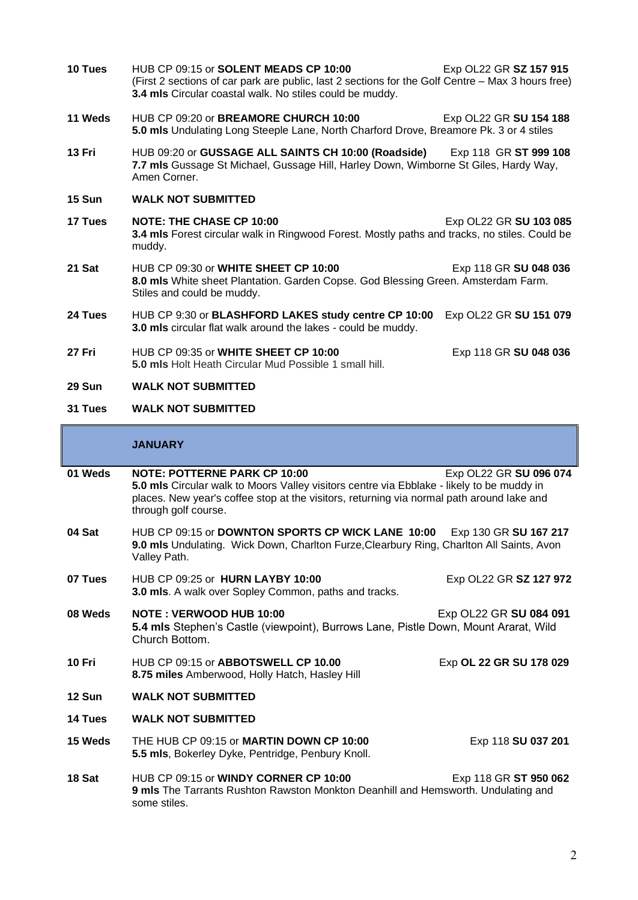**10 Tues** HUB CP 09:15 or **SOLENT MEADS CP 10:00** Exp OL22 GR **SZ 157 915**  (First 2 sections of car park are public, last 2 sections for the Golf Centre – Max 3 hours free) **3.4 mls** Circular coastal walk. No stiles could be muddy. **11 Weds** HUB CP 09:20 or **BREAMORE CHURCH 10:00** Exp OL22 GR **SU 154 188 5.0 mls** Undulating Long Steeple Lane, North Charford Drove, Breamore Pk. 3 or 4 stiles **13 Fri** HUB 09:20 or **GUSSAGE ALL SAINTS CH 10:00 (Roadside)** Exp 118 GR **ST 999 108 7.7 mls** Gussage St Michael, Gussage Hill, Harley Down, Wimborne St Giles, Hardy Way, Amen Corner. **15 Sun WALK NOT SUBMITTED 17 Tues NOTE: THE CHASE CP 10:00** Exp OL22 GR **SU 103 085 3.4 mls** Forest circular walk in Ringwood Forest. Mostly paths and tracks, no stiles. Could be muddy. **21 Sat** HUB CP 09:30 or **WHITE SHEET CP 10:00** Exp 118 GR **SU 048 036 8.0 mls** White sheet Plantation. Garden Copse. God Blessing Green. Amsterdam Farm. Stiles and could be muddy. **24 Tues** HUB CP 9:30 or **BLASHFORD LAKES study centre CP 10:00** Exp OL22 GR **SU 151 079 3.0 mls** circular flat walk around the lakes - could be muddy. **27 Fri** HUB CP 09:35 or **WHITE SHEET CP 10:00** Exp 118 GR **SU 048 036 5.0 mls** Holt Heath Circular Mud Possible 1 small hill. **29 Sun WALK NOT SUBMITTED**

## **31 Tues WALK NOT SUBMITTED**

### **JANUARY**

| 01 Weds | <b>NOTE: POTTERNE PARK CP 10:00</b><br>5.0 mls Circular walk to Moors Valley visitors centre via Ebblake - likely to be muddy in<br>places. New year's coffee stop at the visitors, returning via normal path around lake and<br>through golf course. | Exp OL22 GR SU 096 074  |
|---------|-------------------------------------------------------------------------------------------------------------------------------------------------------------------------------------------------------------------------------------------------------|-------------------------|
| 04 Sat  | HUB CP 09:15 or DOWNTON SPORTS CP WICK LANE 10:00<br>Exp 130 GR SU 167 217<br>9.0 mls Undulating. Wick Down, Charlton Furze, Clearbury Ring, Charlton All Saints, Avon<br>Valley Path.                                                                |                         |
| 07 Tues | HUB CP 09:25 or HURN LAYBY 10:00<br>3.0 mls. A walk over Sopley Common, paths and tracks.                                                                                                                                                             | Exp OL22 GR SZ 127 972  |
| 08 Weds | <b>NOTE: VERWOOD HUB 10:00</b><br>5.4 mls Stephen's Castle (viewpoint), Burrows Lane, Pistle Down, Mount Ararat, Wild<br>Church Bottom.                                                                                                               | Exp OL22 GR SU 084 091  |
| 10 Fri  | HUB CP 09:15 or ABBOTSWELL CP 10.00<br>8.75 miles Amberwood, Holly Hatch, Hasley Hill                                                                                                                                                                 | Exp OL 22 GR SU 178 029 |
| 12 Sun  | <b>WALK NOT SUBMITTED</b>                                                                                                                                                                                                                             |                         |
| 14 Tues | <b>WALK NOT SUBMITTED</b>                                                                                                                                                                                                                             |                         |
| 15 Weds | THE HUB CP 09:15 or MARTIN DOWN CP 10:00<br>5.5 mls, Bokerley Dyke, Pentridge, Penbury Knoll.                                                                                                                                                         | Exp 118 SU 037 201      |
| 18 Sat  | HUB CP 09:15 or <b>WINDY CORNER CP 10:00</b><br>9 mls The Tarrants Rushton Rawston Monkton Deanhill and Hemsworth. Undulating and<br>some stiles.                                                                                                     | Exp 118 GR ST 950 062   |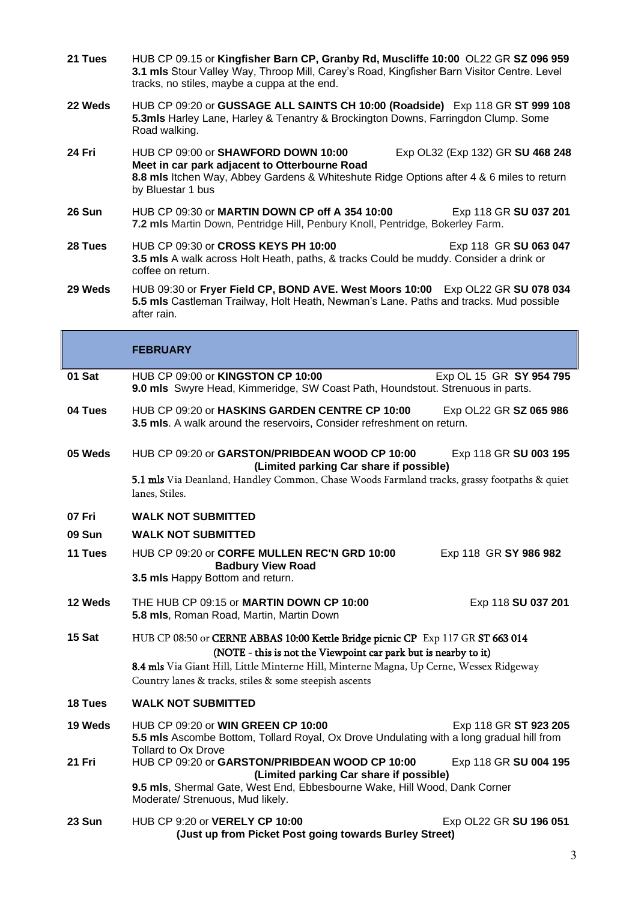- **21 Tues** HUB CP 09.15 or **Kingfisher Barn CP, Granby Rd, Muscliffe 10:00** OL22 GR **SZ 096 959 3.1 mls** Stour Valley Way, Throop Mill, Carey's Road, Kingfisher Barn Visitor Centre. Level tracks, no stiles, maybe a cuppa at the end.
- **22 Weds** HUB CP 09:20 or **GUSSAGE ALL SAINTS CH 10:00 (Roadside)** Exp 118 GR **ST 999 108 5.3mls** Harley Lane, Harley & Tenantry & Brockington Downs, Farringdon Clump. Some Road walking.
- **24 Fri** HUB CP 09:00 or **SHAWFORD DOWN 10:00** Exp OL32 (Exp 132) GR **SU 468 248 Meet in car park adjacent to Otterbourne Road 8.8 mls** Itchen Way, Abbey Gardens & Whiteshute Ridge Options after 4 & 6 miles to return by Bluestar 1 bus
- **26 Sun** HUB CP 09:30 or **MARTIN DOWN CP off A 354 10:00** Exp 118 GR **SU 037 201 7.2 mls** Martin Down, Pentridge Hill, Penbury Knoll, Pentridge, Bokerley Farm.
- **28 Tues** HUB CP 09:30 or **CROSS KEYS PH 10:00** Exp 118 GR **SU 063 047 3.5 mls** A walk across Holt Heath, paths, & tracks Could be muddy. Consider a drink or coffee on return.
- **29 Weds** HUB 09:30 or **Fryer Field CP, BOND AVE. West Moors 10:00** Exp OL22 GR **SU 078 034 5.5 mls** Castleman Trailway, Holt Heath, Newman's Lane. Paths and tracks. Mud possible after rain.

|               | <b>FEBRUARY</b>                                                                                                                                                                                                                                                                                         |  |
|---------------|---------------------------------------------------------------------------------------------------------------------------------------------------------------------------------------------------------------------------------------------------------------------------------------------------------|--|
| 01 Sat        | HUB CP 09:00 or KINGSTON CP 10:00<br>Exp OL 15 GR SY 954 795<br>9.0 mls Swyre Head, Kimmeridge, SW Coast Path, Houndstout. Strenuous in parts.                                                                                                                                                          |  |
| 04 Tues       | HUB CP 09:20 or HASKINS GARDEN CENTRE CP 10:00<br>Exp OL22 GR SZ 065 986<br>3.5 mls. A walk around the reservoirs, Consider refreshment on return.                                                                                                                                                      |  |
| 05 Weds       | HUB CP 09:20 or GARSTON/PRIBDEAN WOOD CP 10:00<br>Exp 118 GR SU 003 195<br>(Limited parking Car share if possible)<br>5.1 mls Via Deanland, Handley Common, Chase Woods Farmland tracks, grassy footpaths & quiet<br>lanes, Stiles.                                                                     |  |
| 07 Fri        | <b>WALK NOT SUBMITTED</b>                                                                                                                                                                                                                                                                               |  |
| <b>09 Sun</b> | <b>WALK NOT SUBMITTED</b>                                                                                                                                                                                                                                                                               |  |
| 11 Tues       | HUB CP 09:20 or CORFE MULLEN REC'N GRD 10:00<br>Exp 118 GR SY 986 982<br><b>Badbury View Road</b><br>3.5 mls Happy Bottom and return.                                                                                                                                                                   |  |
| 12 Weds       | THE HUB CP 09:15 or <b>MARTIN DOWN CP 10:00</b><br>Exp 118 SU 037 201<br>5.8 mls, Roman Road, Martin, Martin Down                                                                                                                                                                                       |  |
| 15 Sat        | HUB CP 08:50 or CERNE ABBAS 10:00 Kettle Bridge picnic CP Exp 117 GR ST 663 014<br>(NOTE - this is not the Viewpoint car park but is nearby to it)<br>8.4 mls Via Giant Hill, Little Minterne Hill, Minterne Magna, Up Cerne, Wessex Ridgeway<br>Country lanes & tracks, stiles & some steepish ascents |  |
| 18 Tues       | <b>WALK NOT SUBMITTED</b>                                                                                                                                                                                                                                                                               |  |
| 19 Weds       | HUB CP 09:20 or WIN GREEN CP 10:00<br>Exp 118 GR ST 923 205<br>5.5 mls Ascombe Bottom, Tollard Royal, Ox Drove Undulating with a long gradual hill from<br><b>Tollard to Ox Drove</b>                                                                                                                   |  |
| 21 Fri        | HUB CP 09:20 or GARSTON/PRIBDEAN WOOD CP 10:00<br>Exp 118 GR SU 004 195<br>(Limited parking Car share if possible)                                                                                                                                                                                      |  |
|               | 9.5 mls, Shermal Gate, West End, Ebbesbourne Wake, Hill Wood, Dank Corner<br>Moderate/ Strenuous, Mud likely.                                                                                                                                                                                           |  |
| 23 Sun        | HUB CP 9:20 or VERELY CP 10:00<br>Exp OL22 GR SU 196 051<br>(Just up from Picket Post going towards Burley Street)                                                                                                                                                                                      |  |